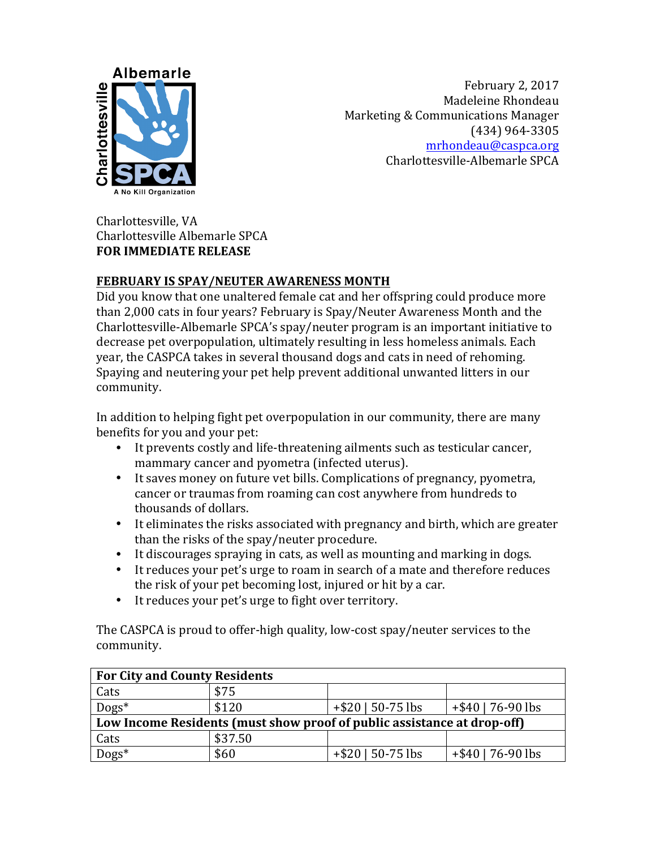

February 2, 2017 Madeleine Rhondeau Marketing & Communications Manager (434) 964-3305 mrhondeau@caspca.org Charlottesville-Albemarle SPCA

Charlottesville, VA Charlottesville Albemarle SPCA **FOR IMMEDIATE RELEASE** 

## **FEBRUARY IS SPAY/NEUTER AWARENESS MONTH**

Did you know that one unaltered female cat and her offspring could produce more than 2,000 cats in four years? February is Spay/Neuter Awareness Month and the Charlottesville-Albemarle SPCA's spay/neuter program is an important initiative to decrease pet overpopulation, ultimately resulting in less homeless animals. Each year, the CASPCA takes in several thousand dogs and cats in need of rehoming. Spaying and neutering your pet help prevent additional unwanted litters in our community. 

In addition to helping fight pet overpopulation in our community, there are many benefits for you and your pet:

- It prevents costly and life-threatening ailments such as testicular cancer, mammary cancer and pyometra (infected uterus).
- It saves money on future vet bills. Complications of pregnancy, pyometra, cancer or traumas from roaming can cost anywhere from hundreds to thousands of dollars.
- It eliminates the risks associated with pregnancy and birth, which are greater than the risks of the spay/neuter procedure.
- It discourages spraying in cats, as well as mounting and marking in dogs.
- It reduces your pet's urge to roam in search of a mate and therefore reduces the risk of your pet becoming lost, injured or hit by a car.
- It reduces your pet's urge to fight over territory.

The CASPCA is proud to offer-high quality, low-cost spay/neuter services to the community. 

| <b>For City and County Residents</b>                                    |         |                      |                      |
|-------------------------------------------------------------------------|---------|----------------------|----------------------|
| Cats                                                                    | \$75    |                      |                      |
| $Dogs^*$                                                                | \$120   | $+$ \$20   50-75 lbs | $+$ \$40   76-90 lbs |
| Low Income Residents (must show proof of public assistance at drop-off) |         |                      |                      |
| Cats                                                                    | \$37.50 |                      |                      |
| $\overline{\text{Dogs}}^*$                                              | \$60    | $+$ \$20   50-75 lbs | $+$ \$40   76-90 lbs |